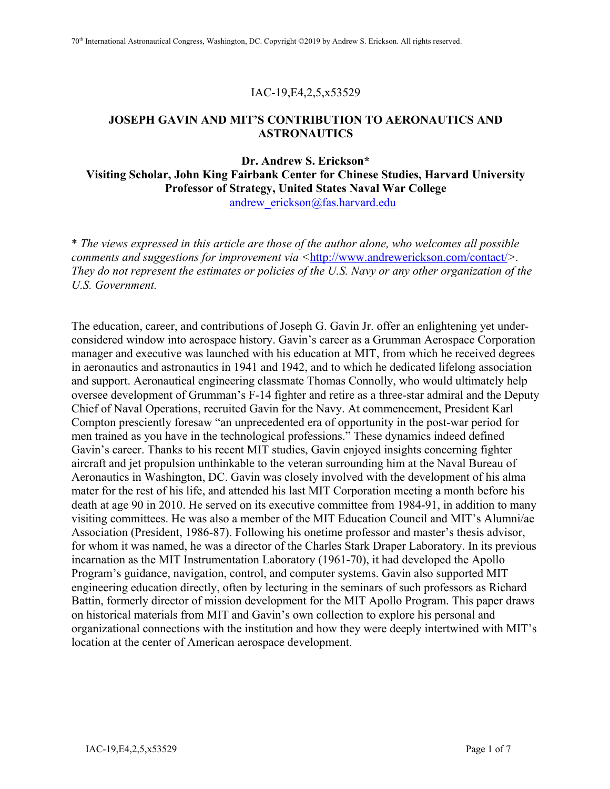## IAC-19,E4,2,5,x53529

# **JOSEPH GAVIN AND MIT'S CONTRIBUTION TO AERONAUTICS AND ASTRONAUTICS**

**Dr. Andrew S. Erickson\* Visiting Scholar, John King Fairbank Center for Chinese Studies, Harvard University Professor of Strategy, United States Naval War College** andrew\_erickson@fas.harvard.edu

\* *The views expressed in this article are those of the author alone, who welcomes all possible comments and suggestions for improvement via* < $\frac{http://www.andrewerickson.com/contact/>}{http://www.andrewerickson.com/contact/>}$ . *They do not represent the estimates or policies of the U.S. Navy or any other organization of the U.S. Government.*

The education, career, and contributions of Joseph G. Gavin Jr. offer an enlightening yet underconsidered window into aerospace history. Gavin's career as a Grumman Aerospace Corporation manager and executive was launched with his education at MIT, from which he received degrees in aeronautics and astronautics in 1941 and 1942, and to which he dedicated lifelong association and support. Aeronautical engineering classmate Thomas Connolly, who would ultimately help oversee development of Grumman's F-14 fighter and retire as a three-star admiral and the Deputy Chief of Naval Operations, recruited Gavin for the Navy. At commencement, President Karl Compton presciently foresaw "an unprecedented era of opportunity in the post-war period for men trained as you have in the technological professions." These dynamics indeed defined Gavin's career. Thanks to his recent MIT studies, Gavin enjoyed insights concerning fighter aircraft and jet propulsion unthinkable to the veteran surrounding him at the Naval Bureau of Aeronautics in Washington, DC. Gavin was closely involved with the development of his alma mater for the rest of his life, and attended his last MIT Corporation meeting a month before his death at age 90 in 2010. He served on its executive committee from 1984-91, in addition to many visiting committees. He was also a member of the MIT Education Council and MIT's Alumni/ae Association (President, 1986-87). Following his onetime professor and master's thesis advisor, for whom it was named, he was a director of the Charles Stark Draper Laboratory. In its previous incarnation as the MIT Instrumentation Laboratory (1961-70), it had developed the Apollo Program's guidance, navigation, control, and computer systems. Gavin also supported MIT engineering education directly, often by lecturing in the seminars of such professors as Richard Battin, formerly director of mission development for the MIT Apollo Program. This paper draws on historical materials from MIT and Gavin's own collection to explore his personal and organizational connections with the institution and how they were deeply intertwined with MIT's location at the center of American aerospace development.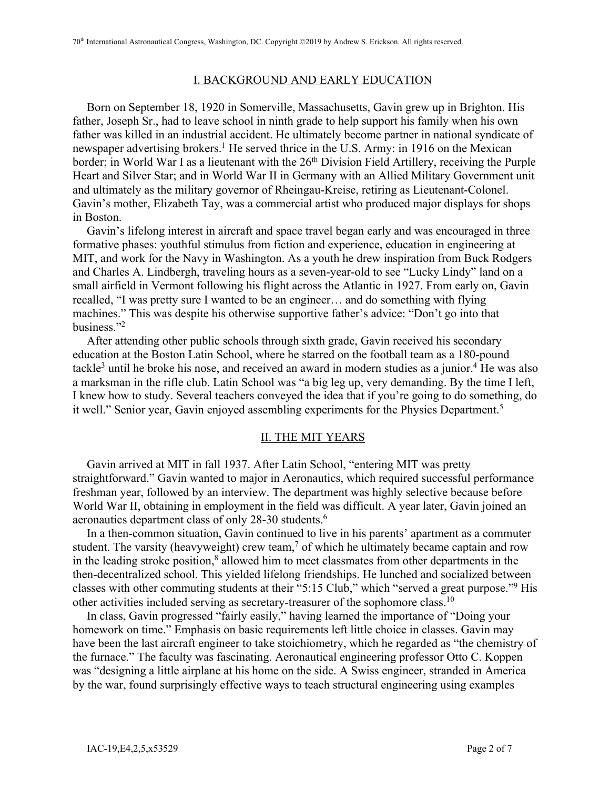### I. BACKGROUND AND EARLY EDUCATION

Born on September 18, 1920 in Somerville, Massachusetts, Gavin grew up in Brighton. His father, Joseph Sr., had to leave school in ninth grade to help support his family when his own father was killed in an industrial accident. He ultimately become partner in national syndicate of newspaper advertising brokers.<sup>1</sup> He served thrice in the U.S. Army: in 1916 on the Mexican border; in World War I as a lieutenant with the 26<sup>th</sup> Division Field Artillery, receiving the Purple Heart and Silver Star; and in World War II in Germany with an Allied Military Government unit and ultimately as the military governor of Rheingau-Kreise, retiring as Lieutenant-Colonel. Gavin's mother, Elizabeth Tay, was a commercial artist who produced major displays for shops in Boston.

Gavin's lifelong interest in aircraft and space travel began early and was encouraged in three formative phases: youthful stimulus from fiction and experience, education in engineering at MIT, and work for the Navy in Washington. As a youth he drew inspiration from Buck Rodgers and Charles A. Lindbergh, traveling hours as a seven-year-old to see "Lucky Lindy" land on a small airfield in Vermont following his flight across the Atlantic in 1927. From early on, Gavin recalled, "I was pretty sure I wanted to be an engineer… and do something with flying machines." This was despite his otherwise supportive father's advice: "Don't go into that business."2

After attending other public schools through sixth grade, Gavin received his secondary education at the Boston Latin School, where he starred on the football team as a 180-pound tackle<sup>3</sup> until he broke his nose, and received an award in modern studies as a junior.<sup>4</sup> He was also a marksman in the rifle club. Latin School was "a big leg up, very demanding. By the time I left, I knew how to study. Several teachers conveyed the idea that if you're going to do something, do it well." Senior year, Gavin enjoyed assembling experiments for the Physics Department.<sup>5</sup>

#### II. THE MIT YEARS

Gavin arrived at MIT in fall 1937. After Latin School, "entering MIT was pretty straightforward." Gavin wanted to major in Aeronautics, which required successful performance freshman year, followed by an interview. The department was highly selective because before World War II, obtaining in employment in the field was difficult. A year later, Gavin joined an aeronautics department class of only 28-30 students. 6

In a then-common situation, Gavin continued to live in his parents' apartment as a commuter student. The varsity (heavyweight) crew team,<sup>7</sup> of which he ultimately became captain and row in the leading stroke position, <sup>8</sup> allowed him to meet classmates from other departments in the then-decentralized school. This yielded lifelong friendships. He lunched and socialized between classes with other commuting students at their "5:15 Club," which "served a great purpose."9 His other activities included serving as secretary-treasurer of the sophomore class.10

In class, Gavin progressed "fairly easily," having learned the importance of "Doing your homework on time." Emphasis on basic requirements left little choice in classes. Gavin may have been the last aircraft engineer to take stoichiometry, which he regarded as "the chemistry of the furnace." The faculty was fascinating. Aeronautical engineering professor Otto C. Koppen was "designing a little airplane at his home on the side. A Swiss engineer, stranded in America by the war, found surprisingly effective ways to teach structural engineering using examples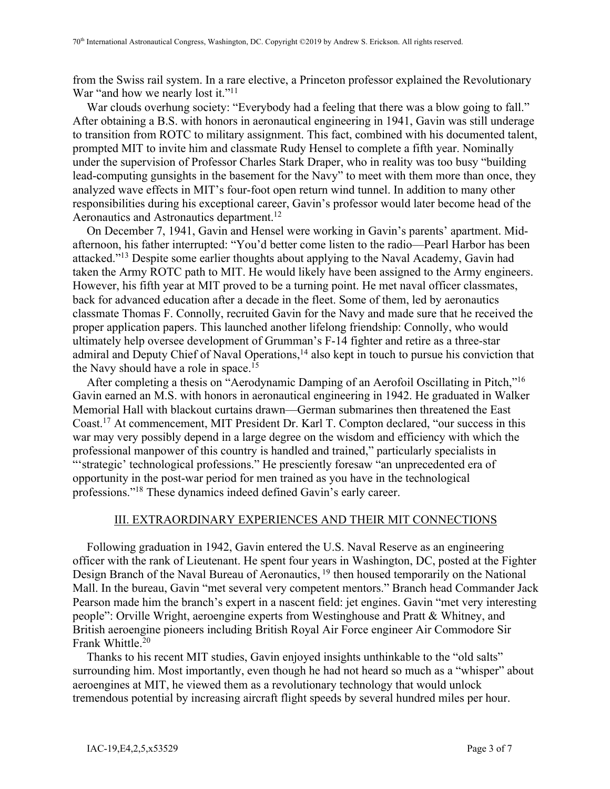from the Swiss rail system. In a rare elective, a Princeton professor explained the Revolutionary War "and how we nearly lost it."<sup>11</sup>

War clouds overhung society: "Everybody had a feeling that there was a blow going to fall." After obtaining a B.S. with honors in aeronautical engineering in 1941, Gavin was still underage to transition from ROTC to military assignment. This fact, combined with his documented talent, prompted MIT to invite him and classmate Rudy Hensel to complete a fifth year. Nominally under the supervision of Professor Charles Stark Draper, who in reality was too busy "building lead-computing gunsights in the basement for the Navy" to meet with them more than once, they analyzed wave effects in MIT's four-foot open return wind tunnel. In addition to many other responsibilities during his exceptional career, Gavin's professor would later become head of the Aeronautics and Astronautics department.<sup>12</sup>

On December 7, 1941, Gavin and Hensel were working in Gavin's parents' apartment. Midafternoon, his father interrupted: "You'd better come listen to the radio—Pearl Harbor has been attacked."13 Despite some earlier thoughts about applying to the Naval Academy, Gavin had taken the Army ROTC path to MIT. He would likely have been assigned to the Army engineers. However, his fifth year at MIT proved to be a turning point. He met naval officer classmates, back for advanced education after a decade in the fleet. Some of them, led by aeronautics classmate Thomas F. Connolly, recruited Gavin for the Navy and made sure that he received the proper application papers. This launched another lifelong friendship: Connolly, who would ultimately help oversee development of Grumman's F-14 fighter and retire as a three-star admiral and Deputy Chief of Naval Operations,<sup>14</sup> also kept in touch to pursue his conviction that the Navy should have a role in space.<sup>15</sup>

After completing a thesis on "Aerodynamic Damping of an Aerofoil Oscillating in Pitch,"16 Gavin earned an M.S. with honors in aeronautical engineering in 1942. He graduated in Walker Memorial Hall with blackout curtains drawn—German submarines then threatened the East Coast.17 At commencement, MIT President Dr. Karl T. Compton declared, "our success in this war may very possibly depend in a large degree on the wisdom and efficiency with which the professional manpower of this country is handled and trained," particularly specialists in "'strategic' technological professions." He presciently foresaw "an unprecedented era of opportunity in the post-war period for men trained as you have in the technological professions."18 These dynamics indeed defined Gavin's early career.

### III. EXTRAORDINARY EXPERIENCES AND THEIR MIT CONNECTIONS

Following graduation in 1942, Gavin entered the U.S. Naval Reserve as an engineering officer with the rank of Lieutenant. He spent four years in Washington, DC, posted at the Fighter Design Branch of the Naval Bureau of Aeronautics, <sup>19</sup> then housed temporarily on the National Mall. In the bureau, Gavin "met several very competent mentors." Branch head Commander Jack Pearson made him the branch's expert in a nascent field: jet engines. Gavin "met very interesting people": Orville Wright, aeroengine experts from Westinghouse and Pratt & Whitney, and British aeroengine pioneers including British Royal Air Force engineer Air Commodore Sir Frank Whittle.20

Thanks to his recent MIT studies, Gavin enjoyed insights unthinkable to the "old salts" surrounding him. Most importantly, even though he had not heard so much as a "whisper" about aeroengines at MIT, he viewed them as a revolutionary technology that would unlock tremendous potential by increasing aircraft flight speeds by several hundred miles per hour.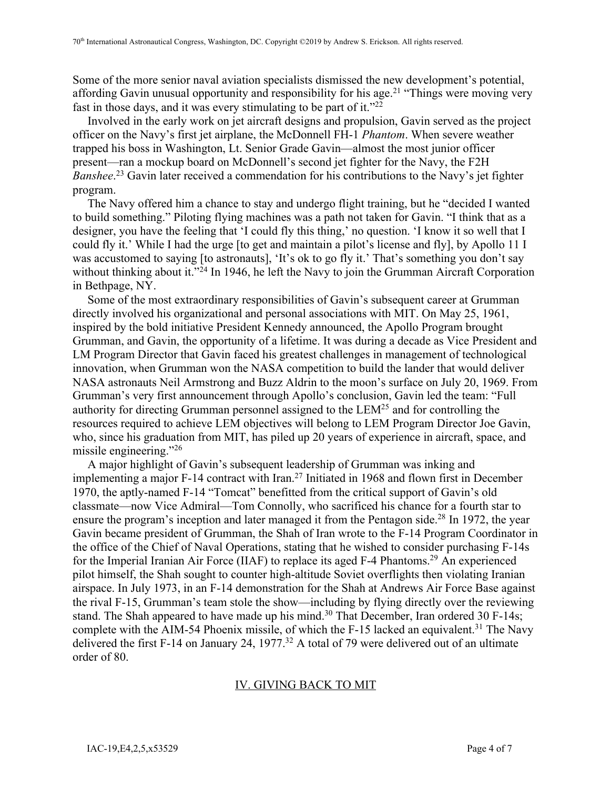Some of the more senior naval aviation specialists dismissed the new development's potential, affording Gavin unusual opportunity and responsibility for his age.<sup>21</sup> "Things were moving very fast in those days, and it was every stimulating to be part of it." $2^{\frac{1}{2}}$ 

 Involved in the early work on jet aircraft designs and propulsion, Gavin served as the project officer on the Navy's first jet airplane, the McDonnell FH-1 *Phantom*. When severe weather trapped his boss in Washington, Lt. Senior Grade Gavin—almost the most junior officer present—ran a mockup board on McDonnell's second jet fighter for the Navy, the F2H *Banshee*. <sup>23</sup> Gavin later received a commendation for his contributions to the Navy's jet fighter program.

 The Navy offered him a chance to stay and undergo flight training, but he "decided I wanted to build something." Piloting flying machines was a path not taken for Gavin. "I think that as a designer, you have the feeling that 'I could fly this thing,' no question. 'I know it so well that I could fly it.' While I had the urge [to get and maintain a pilot's license and fly], by Apollo 11 I was accustomed to saying [to astronauts], 'It's ok to go fly it.' That's something you don't say without thinking about it."<sup>24</sup> In 1946, he left the Navy to join the Grumman Aircraft Corporation in Bethpage, NY.

 Some of the most extraordinary responsibilities of Gavin's subsequent career at Grumman directly involved his organizational and personal associations with MIT. On May 25, 1961, inspired by the bold initiative President Kennedy announced, the Apollo Program brought Grumman, and Gavin, the opportunity of a lifetime. It was during a decade as Vice President and LM Program Director that Gavin faced his greatest challenges in management of technological innovation, when Grumman won the NASA competition to build the lander that would deliver NASA astronauts Neil Armstrong and Buzz Aldrin to the moon's surface on July 20, 1969. From Grumman's very first announcement through Apollo's conclusion, Gavin led the team: "Full authority for directing Grumman personnel assigned to the  $LEM^{25}$  and for controlling the resources required to achieve LEM objectives will belong to LEM Program Director Joe Gavin, who, since his graduation from MIT, has piled up 20 years of experience in aircraft, space, and missile engineering."26

 A major highlight of Gavin's subsequent leadership of Grumman was inking and implementing a major F-14 contract with Iran.<sup>27</sup> Initiated in 1968 and flown first in December 1970, the aptly-named F-14 "Tomcat" benefitted from the critical support of Gavin's old classmate—now Vice Admiral—Tom Connolly, who sacrificed his chance for a fourth star to ensure the program's inception and later managed it from the Pentagon side.<sup>28</sup> In 1972, the year Gavin became president of Grumman, the Shah of Iran wrote to the F-14 Program Coordinator in the office of the Chief of Naval Operations, stating that he wished to consider purchasing F-14s for the Imperial Iranian Air Force (IIAF) to replace its aged F-4 Phantoms.<sup>29</sup> An experienced pilot himself, the Shah sought to counter high-altitude Soviet overflights then violating Iranian airspace. In July 1973, in an F-14 demonstration for the Shah at Andrews Air Force Base against the rival F-15, Grumman's team stole the show—including by flying directly over the reviewing stand. The Shah appeared to have made up his mind.<sup>30</sup> That December, Iran ordered 30 F-14s; complete with the AIM-54 Phoenix missile, of which the  $F-15$  lacked an equivalent.<sup>31</sup> The Navy delivered the first F-14 on January 24, 1977.<sup>32</sup> A total of 79 were delivered out of an ultimate order of 80.

### IV. GIVING BACK TO MIT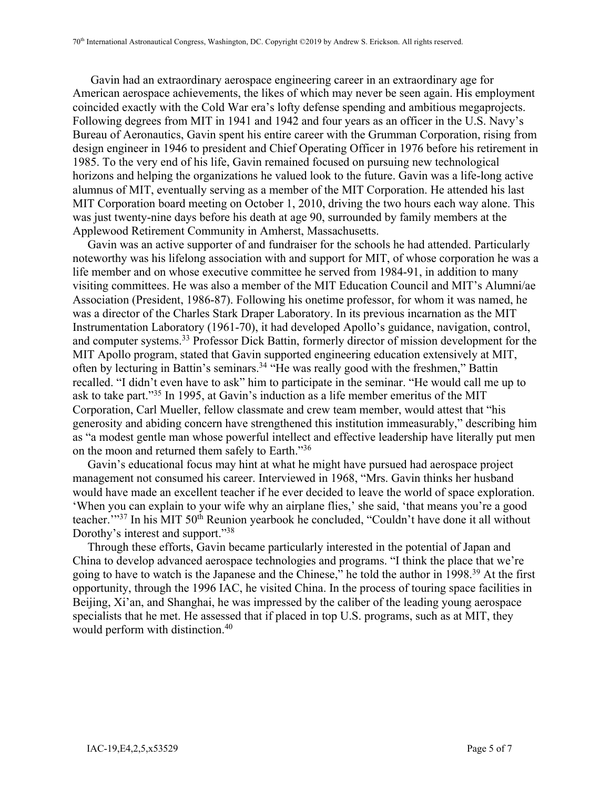Gavin had an extraordinary aerospace engineering career in an extraordinary age for American aerospace achievements, the likes of which may never be seen again. His employment coincided exactly with the Cold War era's lofty defense spending and ambitious megaprojects. Following degrees from MIT in 1941 and 1942 and four years as an officer in the U.S. Navy's Bureau of Aeronautics, Gavin spent his entire career with the Grumman Corporation, rising from design engineer in 1946 to president and Chief Operating Officer in 1976 before his retirement in 1985. To the very end of his life, Gavin remained focused on pursuing new technological horizons and helping the organizations he valued look to the future. Gavin was a life-long active alumnus of MIT, eventually serving as a member of the MIT Corporation. He attended his last MIT Corporation board meeting on October 1, 2010, driving the two hours each way alone. This was just twenty-nine days before his death at age 90, surrounded by family members at the Applewood Retirement Community in Amherst, Massachusetts.

 Gavin was an active supporter of and fundraiser for the schools he had attended. Particularly noteworthy was his lifelong association with and support for MIT, of whose corporation he was a life member and on whose executive committee he served from 1984-91, in addition to many visiting committees. He was also a member of the MIT Education Council and MIT's Alumni/ae Association (President, 1986-87). Following his onetime professor, for whom it was named, he was a director of the Charles Stark Draper Laboratory. In its previous incarnation as the MIT Instrumentation Laboratory (1961-70), it had developed Apollo's guidance, navigation, control, and computer systems. <sup>33</sup> Professor Dick Battin, formerly director of mission development for the MIT Apollo program, stated that Gavin supported engineering education extensively at MIT, often by lecturing in Battin's seminars.34 "He was really good with the freshmen," Battin recalled. "I didn't even have to ask" him to participate in the seminar. "He would call me up to ask to take part."35 In 1995, at Gavin's induction as a life member emeritus of the MIT Corporation, Carl Mueller, fellow classmate and crew team member, would attest that "his generosity and abiding concern have strengthened this institution immeasurably," describing him as "a modest gentle man whose powerful intellect and effective leadership have literally put men on the moon and returned them safely to Earth."36

 Gavin's educational focus may hint at what he might have pursued had aerospace project management not consumed his career. Interviewed in 1968, "Mrs. Gavin thinks her husband would have made an excellent teacher if he ever decided to leave the world of space exploration. 'When you can explain to your wife why an airplane flies,' she said, 'that means you're a good teacher."<sup>37</sup> In his MIT 50<sup>th</sup> Reunion yearbook he concluded, "Couldn't have done it all without Dorothy's interest and support."38

 Through these efforts, Gavin became particularly interested in the potential of Japan and China to develop advanced aerospace technologies and programs. "I think the place that we're going to have to watch is the Japanese and the Chinese," he told the author in 1998.39 At the first opportunity, through the 1996 IAC, he visited China. In the process of touring space facilities in Beijing, Xi'an, and Shanghai, he was impressed by the caliber of the leading young aerospace specialists that he met. He assessed that if placed in top U.S. programs, such as at MIT, they would perform with distinction.40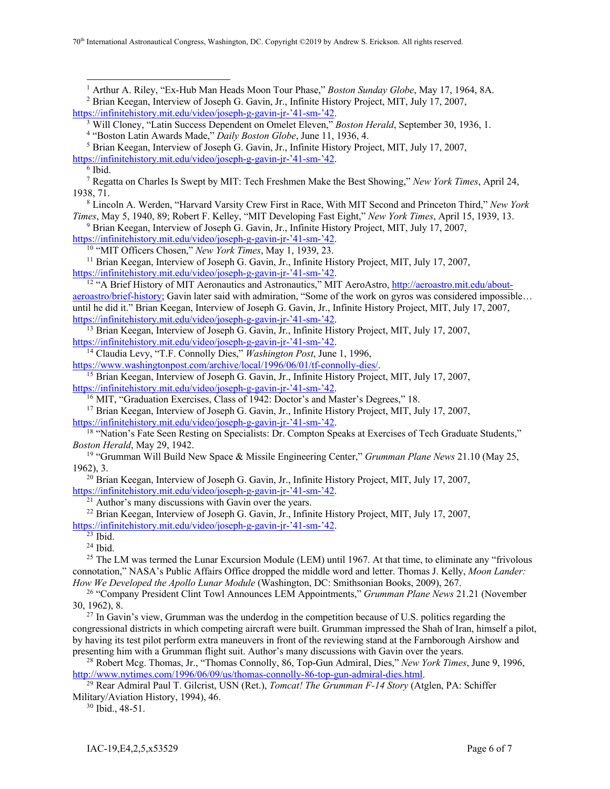70th International Astronautical Congress, Washington, DC. Copyright ©2019 by Andrew S. Erickson. All rights reserved.

<sup>1</sup> Arthur A. Riley, "Ex-Hub Man Heads Moon Tour Phase," *Boston Sunday Globe*, May 17, 1964, 8A. <sup>2</sup> Brian Keegan, Interview of Joseph G. Gavin, Jr., Infinite History Project, MIT, July 17, 2007,

https://infinitehistory.mit.edu/video/joseph-g-gavin-jr-'41-sm-'42.

<sup>3</sup> Will Cloney, "Latin Success Dependent on Omelet Eleven," *Boston Herald*, September 30, 1936, 1.

<sup>4</sup> "Boston Latin Awards Made," *Daily Boston Globe*, June 11, 1936, 4.

<sup>5</sup> Brian Keegan, Interview of Joseph G. Gavin, Jr., Infinite History Project, MIT, July 17, 2007,

https://infinitehistory.mit.edu/video/joseph-g-gavin-jr-'41-sm-'42.

 $6$  Ibid.

<sup>7</sup> Regatta on Charles Is Swept by MIT: Tech Freshmen Make the Best Showing," *New York Times*, April 24, 1938, 71.

<sup>8</sup> Lincoln A. Werden, "Harvard Varsity Crew First in Race, With MIT Second and Princeton Third," *New York Times*, May 5, 1940, 89; Robert F. Kelley, "MIT Developing Fast Eight," *New York Times*, April 15, 1939, 13.

<sup>9</sup> Brian Keegan, Interview of Joseph G. Gavin, Jr., Infinite History Project, MIT, July 17, 2007,

https://infinitehistory.mit.edu/video/joseph-g-gavin-jr-'41-sm-'42.

<sup>10</sup> "MIT Officers Chosen," *New York Times*, May 1, 1939, 23.

<sup>11</sup> Brian Keegan, Interview of Joseph G. Gavin, Jr., Infinite History Project, MIT, July 17, 2007, https://infinitehistory.mit.edu/video/joseph-g-gavin-jr-'41-sm-'42.

<sup>12</sup> "A Brief History of MIT Aeronautics and Astronautics," MIT AeroAstro, http://aeroastro.mit.edu/aboutaeroastro/brief-history; Gavin later said with admiration, "Some of the work on gyros was considered impossible... until he did it." Brian Keegan, Interview of Joseph G. Gavin, Jr., Infinite History Project, MIT, July 17, 2007, https://infinitehistory.mit.edu/video/joseph-g-gavin-jr-'41-sm-'42.

<sup>13</sup> Brian Keegan, Interview of Joseph G. Gavin, Jr., Infinite History Project, MIT, July 17, 2007, https://infinitehistory.mit.edu/video/joseph-g-gavin-jr-'41-sm-'42.

<sup>14</sup> Claudia Levy, "T.F. Connolly Dies," *Washington Post*, June 1, 1996, https://www.washingtonpost.com/archive/local/1996/06/01/tf-connolly-dies/.

<sup>15</sup> Brian Keegan, Interview of Joseph G. Gavin, Jr., Infinite History Project, MIT, July 17, 2007, https://infinitehistory.mit.edu/video/joseph-g-gavin-jr-'41-sm-'42.

<sup>16</sup> MIT, "Graduation Exercises, Class of 1942: Doctor's and Master's Degrees," 18.

<sup>17</sup> Brian Keegan, Interview of Joseph G. Gavin, Jr., Infinite History Project, MIT, July 17, 2007, https://infinitehistory.mit.edu/video/joseph-g-gavin-jr-'41-sm-'42.

<sup>18</sup> "Nation's Fate Seen Resting on Specialists: Dr. Compton Speaks at Exercises of Tech Graduate Students," *Boston Herald*, May 29, 1942.

<sup>19</sup> "Grumman Will Build New Space & Missile Engineering Center," *Grumman Plane News* 21.10 (May 25, 1962), 3.

 $^{20}$  Brian Keegan, Interview of Joseph G. Gavin, Jr., Infinite History Project, MIT, July 17, 2007,

https://infinitehistory.mit.edu/video/joseph-g-gavin-jr-'41-sm-'42.

<sup>21</sup> Author's many discussions with Gavin over the years.

<sup>22</sup> Brian Keegan, Interview of Joseph G. Gavin, Jr., Infinite History Project, MIT, July 17, 2007,

https://infinitehistory.mit.edu/video/joseph-g-gavin-jr-'41-sm-'42.

 $\frac{23}{23}$  Ibid.

<sup>25</sup> The LM was termed the Lunar Excursion Module (LEM) until 1967. At that time, to eliminate any "frivolous" connotation," NASA's Public Affairs Office dropped the middle word and letter. Thomas J. Kelly, *Moon Lander: How We Developed the Apollo Lunar Module* (Washington, DC: Smithsonian Books, 2009), 267.

<sup>26</sup> "Company President Clint Towl Announces LEM Appointments," *Grumman Plane News* 21.21 (November 30, 1962), 8.

 $^{27}$  In Gavin's view, Grumman was the underdog in the competition because of U.S. politics regarding the congressional districts in which competing aircraft were built. Grumman impressed the Shah of Iran, himself a pilot, by having its test pilot perform extra maneuvers in front of the reviewing stand at the Farnborough Airshow and presenting him with a Grumman flight suit. Author's many discussions with Gavin over the years.

<sup>28</sup> Robert Mcg. Thomas, Jr., "Thomas Connolly, 86, Top-Gun Admiral, Dies," *New York Times*, June 9, 1996, http://www.nytimes.com/1996/06/09/us/thomas-connolly-86-top-gun-admiral-dies.html.

<sup>29</sup> Rear Admiral Paul T. Gilcrist, USN (Ret.), *Tomcat! The Grumman F-14 Story* (Atglen, PA: Schiffer Military/Aviation History, 1994), 46.

<sup>30</sup> Ibid., 48-51.